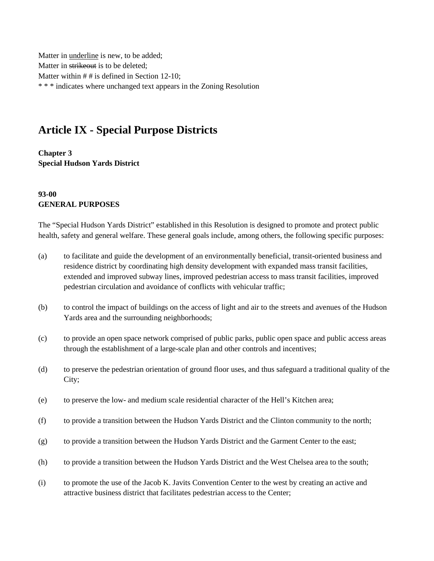Matter in underline is new, to be added; Matter in strikeout is to be deleted; Matter within # # is defined in Section 12-10; \* \* \* indicates where unchanged text appears in the Zoning Resolution

# **Article IX - Special Purpose Districts**

**Chapter 3 Special Hudson Yards District**

#### **93-00 GENERAL PURPOSES**

The "Special Hudson Yards District" established in this Resolution is designed to promote and protect public health, safety and general welfare. These general goals include, among others, the following specific purposes:

- (a) to facilitate and guide the development of an environmentally beneficial, transit-oriented business and residence district by coordinating high density development with expanded mass transit facilities, extended and improved subway lines, improved pedestrian access to mass transit facilities, improved pedestrian circulation and avoidance of conflicts with vehicular traffic;
- (b) to control the impact of buildings on the access of light and air to the streets and avenues of the Hudson Yards area and the surrounding neighborhoods;
- (c) to provide an open space network comprised of public parks, public open space and public access areas through the establishment of a large-scale plan and other controls and incentives;
- (d) to preserve the pedestrian orientation of ground floor uses, and thus safeguard a traditional quality of the City;
- (e) to preserve the low- and medium scale residential character of the Hell's Kitchen area;
- (f) to provide a transition between the Hudson Yards District and the Clinton community to the north;
- (g) to provide a transition between the Hudson Yards District and the Garment Center to the east;
- (h) to provide a transition between the Hudson Yards District and the West Chelsea area to the south;
- (i) to promote the use of the Jacob K. Javits Convention Center to the west by creating an active and attractive business district that facilitates pedestrian access to the Center;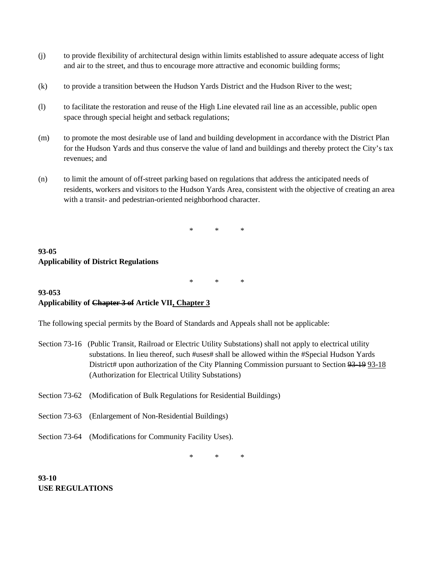- (j) to provide flexibility of architectural design within limits established to assure adequate access of light and air to the street, and thus to encourage more attractive and economic building forms;
- (k) to provide a transition between the Hudson Yards District and the Hudson River to the west;
- (l) to facilitate the restoration and reuse of the High Line elevated rail line as an accessible, public open space through special height and setback regulations;
- (m) to promote the most desirable use of land and building development in accordance with the District Plan for the Hudson Yards and thus conserve the value of land and buildings and thereby protect the City's tax revenues; and
- (n) to limit the amount of off-street parking based on regulations that address the anticipated needs of residents, workers and visitors to the Hudson Yards Area, consistent with the objective of creating an area with a transit- and pedestrian-oriented neighborhood character.

#### **93-05 Applicability of District Regulations**

\* \* \*

# **93-053 Applicability of Chapter 3 of Article VII, Chapter 3**

The following special permits by the Board of Standards and Appeals shall not be applicable:

- Section 73-16 (Public Transit, Railroad or Electric Utility Substations) shall not apply to electrical utility substations. In lieu thereof, such #uses# shall be allowed within the #Special Hudson Yards District# upon authorization of the City Planning Commission pursuant to Section 93-19 93-18 (Authorization for Electrical Utility Substations)
- Section 73-62 (Modification of Bulk Regulations for Residential Buildings)
- Section 73-63 (Enlargement of Non-Residential Buildings)
- Section 73-64 (Modifications for Community Facility Uses).

\* \* \*

**93-10 USE REGULATIONS**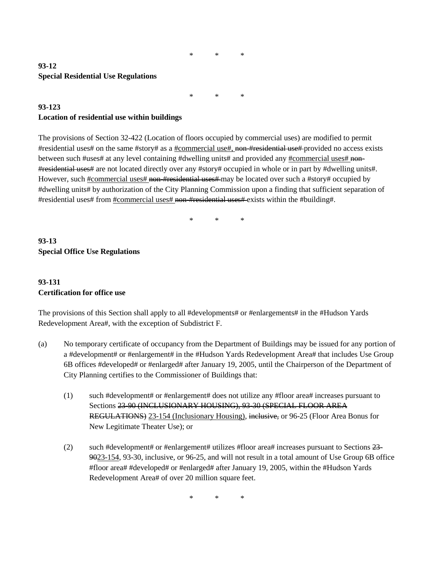#### **93-12 Special Residential Use Regulations**

\* \* \*

#### **93-123 Location of residential use within buildings**

The provisions of Section 32-422 (Location of floors occupied by commercial uses) are modified to permit #residential uses# on the same #story# as a #commercial use#, non-#residential use# provided no access exists between such #uses# at any level containing #dwelling units# and provided any #commercial uses# non-#residential uses# are not located directly over any #story# occupied in whole or in part by #dwelling units#. However, such #commercial uses# non-#residential uses# may be located over such a #story# occupied by #dwelling units# by authorization of the City Planning Commission upon a finding that sufficient separation of #residential uses# from #commercial uses# non-#residential uses# exists within the #building#.

\* \* \*

# **93-13 Special Office Use Regulations**

# **93-131 Certification for office use**

The provisions of this Section shall apply to all #developments# or #enlargements# in the #Hudson Yards Redevelopment Area#, with the exception of Subdistrict F.

- (a) No temporary certificate of occupancy from the Department of Buildings may be issued for any portion of a #development# or #enlargement# in the #Hudson Yards Redevelopment Area# that includes Use Group 6B offices #developed# or #enlarged# after January 19, 2005, until the Chairperson of the Department of City Planning certifies to the Commissioner of Buildings that:
	- (1) such #development# or #enlargement# does not utilize any #floor area# increases pursuant to Sections 23-90 (INCLUSIONARY HOUSING), 93-30 (SPECIAL FLOOR AREA REGULATIONS) 23-154 (Inclusionary Housing), inclusive, or 96-25 (Floor Area Bonus for New Legitimate Theater Use); or
	- (2) such #development# or #enlargement# utilizes #floor area# increases pursuant to Sections  $23-$ 9023-154, 93-30, inclusive, or 96-25, and will not result in a total amount of Use Group 6B office #floor area# #developed# or #enlarged# after January 19, 2005, within the #Hudson Yards Redevelopment Area# of over 20 million square feet.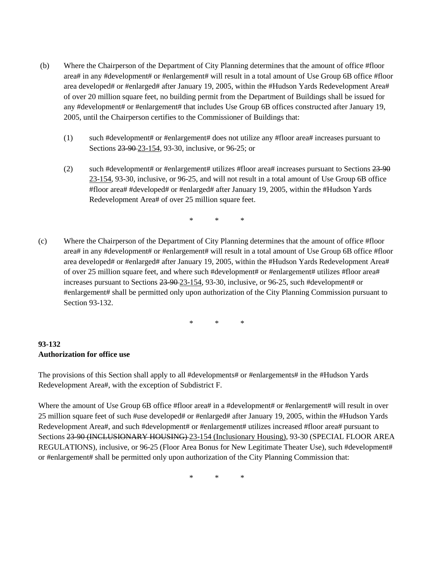- (b) Where the Chairperson of the Department of City Planning determines that the amount of office #floor area# in any #development# or #enlargement# will result in a total amount of Use Group 6B office #floor area developed# or #enlarged# after January 19, 2005, within the #Hudson Yards Redevelopment Area# of over 20 million square feet, no building permit from the Department of Buildings shall be issued for any #development# or #enlargement# that includes Use Group 6B offices constructed after January 19, 2005, until the Chairperson certifies to the Commissioner of Buildings that:
	- (1) such #development# or #enlargement# does not utilize any #floor area# increases pursuant to Sections 23-90 23-154, 93-30, inclusive, or 96-25; or
	- (2) such #development# or #enlargement# utilizes #floor area# increases pursuant to Sections  $23-90$ 23-154, 93-30, inclusive, or 96-25, and will not result in a total amount of Use Group 6B office #floor area# #developed# or #enlarged# after January 19, 2005, within the #Hudson Yards Redevelopment Area# of over 25 million square feet.

(c) Where the Chairperson of the Department of City Planning determines that the amount of office #floor area# in any #development# or #enlargement# will result in a total amount of Use Group 6B office #floor area developed# or #enlarged# after January 19, 2005, within the #Hudson Yards Redevelopment Area# of over 25 million square feet, and where such #development# or #enlargement# utilizes #floor area# increases pursuant to Sections 23-90-23-154, 93-30, inclusive, or 96-25, such #development# or #enlargement# shall be permitted only upon authorization of the City Planning Commission pursuant to Section 93-132.

\* \* \*

## **93-132 Authorization for office use**

The provisions of this Section shall apply to all #developments# or #enlargements# in the #Hudson Yards Redevelopment Area#, with the exception of Subdistrict F.

Where the amount of Use Group 6B office #floor area# in a #development# or #enlargement# will result in over 25 million square feet of such #use developed# or #enlarged# after January 19, 2005, within the #Hudson Yards Redevelopment Area#, and such #development# or #enlargement# utilizes increased #floor area# pursuant to Sections 23-90 (INCLUSIONARY HOUSING)-23-154 (Inclusionary Housing), 93-30 (SPECIAL FLOOR AREA REGULATIONS), inclusive, or 96-25 (Floor Area Bonus for New Legitimate Theater Use), such #development# or #enlargement# shall be permitted only upon authorization of the City Planning Commission that: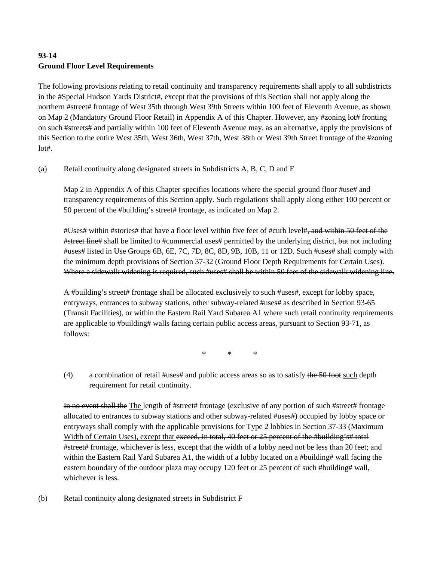# **93-14 Ground Floor Level Requirements**

The following provisions relating to retail continuity and transparency requirements shall apply to all subdistricts in the #Special Hudson Yards District#, except that the provisions of this Section shall not apply along the northern #street# frontage of West 35th through West 39th Streets within 100 feet of Eleventh Avenue, as shown on Map 2 (Mandatory Ground Floor Retail) in Appendix A of this Chapter. However, any #zoning lot# fronting on such #streets# and partially within 100 feet of Eleventh Avenue may, as an alternative, apply the provisions of this Section to the entire West 35th, West 36th, West 37th, West 38th or West 39th Street frontage of the #zoning  $l$ ot#.

(a) Retail continuity along designated streets in Subdistricts A, B, C, D and E

Map 2 in Appendix A of this Chapter specifies locations where the special ground floor #use# and transparency requirements of this Section apply. Such regulations shall apply along either 100 percent or 50 percent of the #building's street# frontage, as indicated on Map 2.

#Uses# within #stories# that have a floor level within five feet of #curb level#, and within 50 feet of the #street line# shall be limited to #commercial uses# permitted by the underlying district, but not including #uses# listed in Use Groups 6B, 6E, 7C, 7D, 8C, 8D, 9B, 10B, 11 or 12D. Such #uses# shall comply with the minimum depth provisions of Section 37-32 (Ground Floor Depth Requirements for Certain Uses). Where a sidewalk widening is required, such #uses# shall be within 50 feet of the sidewalk widening line.

A #building's street# frontage shall be allocated exclusively to such #uses#, except for lobby space, entryways, entrances to subway stations, other subway-related #uses# as described in Section 93-65 (Transit Facilities), or within the Eastern Rail Yard Subarea A1 where such retail continuity requirements are applicable to #building# walls facing certain public access areas, pursuant to Section 93-71, as follows:

\* \* \*

(4) a combination of retail #uses# and public access areas so as to satisfy the 50 foot such depth requirement for retail continuity.

In no event shall the The length of #street# frontage (exclusive of any portion of such #street# frontage allocated to entrances to subway stations and other subway-related #uses#) occupied by lobby space or entryways shall comply with the applicable provisions for Type 2 lobbies in Section 37-33 (Maximum Width of Certain Uses), except that exceed, in total, 40 feet or 25 percent of the #building's# total #street# frontage, whichever is less, except that the width of a lobby need not be less than 20 feet; and within the Eastern Rail Yard Subarea A1, the width of a lobby located on a #building# wall facing the eastern boundary of the outdoor plaza may occupy 120 feet or 25 percent of such #building# wall, whichever is less.

(b) Retail continuity along designated streets in Subdistrict F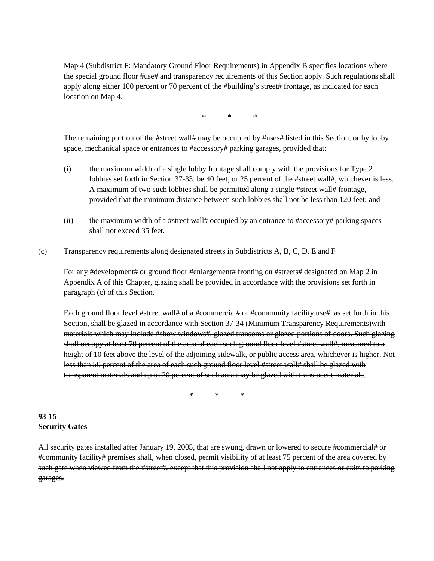Map 4 (Subdistrict F: Mandatory Ground Floor Requirements) in Appendix B specifies locations where the special ground floor #use# and transparency requirements of this Section apply. Such regulations shall apply along either 100 percent or 70 percent of the #building's street# frontage, as indicated for each location on Map 4.

\* \* \*

The remaining portion of the #street wall# may be occupied by #uses# listed in this Section, or by lobby space, mechanical space or entrances to #accessory# parking garages, provided that:

- (i) the maximum width of a single lobby frontage shall comply with the provisions for Type 2 lobbies set forth in Section 37-33. be 40 feet, or 25 percent of the #street wall#, whichever is less. A maximum of two such lobbies shall be permitted along a single #street wall# frontage, provided that the minimum distance between such lobbies shall not be less than 120 feet; and
- (ii) the maximum width of a #street wall# occupied by an entrance to #accessory# parking spaces shall not exceed 35 feet.
- (c) Transparency requirements along designated streets in Subdistricts A, B, C, D, E and F

For any #development# or ground floor #enlargement# fronting on #streets# designated on Map 2 in Appendix A of this Chapter, glazing shall be provided in accordance with the provisions set forth in paragraph (c) of this Section.

Each ground floor level #street wall# of a #commercial# or #community facility use#, as set forth in this Section, shall be glazed in accordance with Section 37-34 (Minimum Transparency Requirements) with materials which may include #show windows#, glazed transoms or glazed portions of doors. Such glazing shall occupy at least 70 percent of the area of each such ground floor level #street wall#, measured to a height of 10 feet above the level of the adjoining sidewalk, or public access area, whichever is higher. Not less than 50 percent of the area of each such ground floor level #street wall# shall be glazed with transparent materials and up to 20 percent of such area may be glazed with translucent materials.

\* \* \*

#### **93-15 Security Gates**

All security gates installed after January 19, 2005, that are swung, drawn or lowered to secure #commercial# or #community facility# premises shall, when closed, permit visibility of at least 75 percent of the area covered by such gate when viewed from the #street#, except that this provision shall not apply to entrances or exits to parking garages.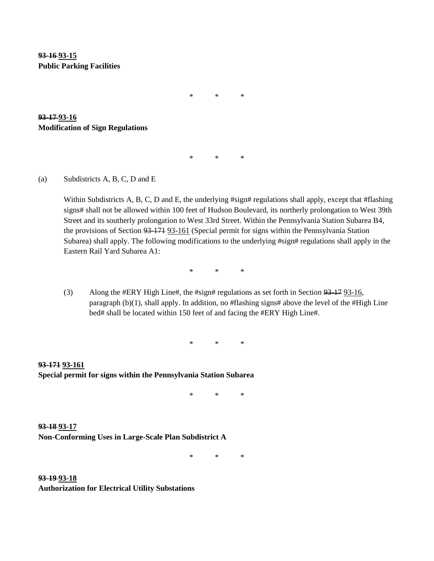**93-16 93-15 Public Parking Facilities**

\* \* \*

\* \* \*

**93-17 93-16 Modification of Sign Regulations** 

(a) Subdistricts A, B, C, D and E

Within Subdistricts A, B, C, D and E, the underlying #sign# regulations shall apply, except that #flashing signs# shall not be allowed within 100 feet of Hudson Boulevard, its northerly prolongation to West 39th Street and its southerly prolongation to West 33rd Street. Within the Pennsylvania Station Subarea B4, the provisions of Section 93-171 93-161 (Special permit for signs within the Pennsylvania Station Subarea) shall apply. The following modifications to the underlying #sign# regulations shall apply in the Eastern Rail Yard Subarea A1:

\* \* \*

(3) Along the #ERY High Line#, the #sign# regulations as set forth in Section 93-17 93-16, paragraph  $(b)(1)$ , shall apply. In addition, no #flashing signs# above the level of the #High Line bed# shall be located within 150 feet of and facing the #ERY High Line#.

\* \* \*

**93-171 93-161 Special permit for signs within the Pennsylvania Station Subarea**

\* \* \*

**93-18 93-17 Non-Conforming Uses in Large-Scale Plan Subdistrict A**

\* \* \*

**93-19 93-18 Authorization for Electrical Utility Substations**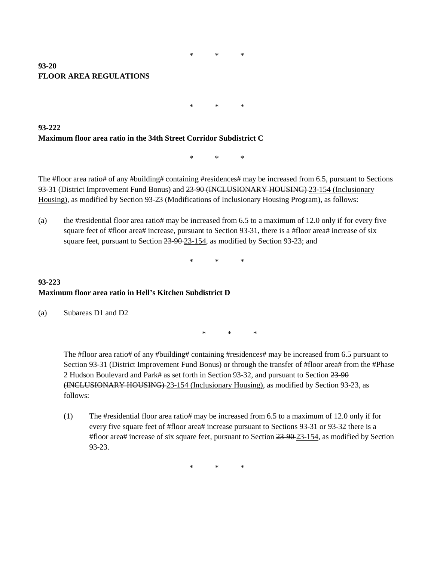#### **93-20 FLOOR AREA REGULATIONS**

\* \* \*

**93-222 Maximum floor area ratio in the 34th Street Corridor Subdistrict C**

\* \* \*

The #floor area ratio# of any #building# containing #residences# may be increased from 6.5, pursuant to Sections 93-31 (District Improvement Fund Bonus) and 23-90 (INCLUSIONARY HOUSING)-23-154 (Inclusionary Housing), as modified by Section 93-23 (Modifications of Inclusionary Housing Program), as follows:

(a) the #residential floor area ratio# may be increased from 6.5 to a maximum of 12.0 only if for every five square feet of #floor area# increase, pursuant to Section 93-31, there is a #floor area# increase of six square feet, pursuant to Section 23-90-23-154, as modified by Section 93-23; and

\* \* \*

### **93-223 Maximum floor area ratio in Hell's Kitchen Subdistrict D**

(a) Subareas D1 and D2

\* \* \*

The #floor area ratio# of any #building# containing #residences# may be increased from 6.5 pursuant to Section 93-31 (District Improvement Fund Bonus) or through the transfer of #floor area# from the #Phase 2 Hudson Boulevard and Park# as set forth in Section 93-32, and pursuant to Section 23-90 (INCLUSIONARY HOUSING) 23-154 (Inclusionary Housing), as modified by Section 93-23, as follows:

(1) The #residential floor area ratio# may be increased from 6.5 to a maximum of 12.0 only if for every five square feet of #floor area# increase pursuant to Sections 93-31 or 93-32 there is a #floor area# increase of six square feet, pursuant to Section 23-90 23-154, as modified by Section 93-23.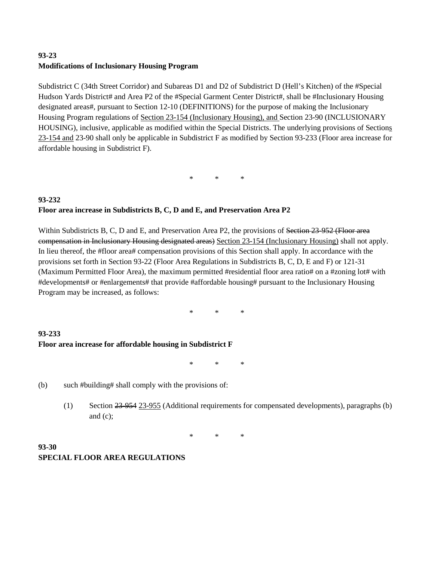# **93-23 Modifications of Inclusionary Housing Program**

Subdistrict C (34th Street Corridor) and Subareas D1 and D2 of Subdistrict D (Hell's Kitchen) of the #Special Hudson Yards District# and Area P2 of the #Special Garment Center District#, shall be #Inclusionary Housing designated areas#, pursuant to Section 12-10 (DEFINITIONS) for the purpose of making the Inclusionary Housing Program regulations of Section 23-154 (Inclusionary Housing), and Section 23-90 (INCLUSIONARY HOUSING), inclusive, applicable as modified within the Special Districts. The underlying provisions of Sections 23-154 and 23-90 shall only be applicable in Subdistrict F as modified by Section 93-233 (Floor area increase for affordable housing in Subdistrict F).

\* \* \*

### **93-232 Floor area increase in Subdistricts B, C, D and E, and Preservation Area P2**

Within Subdistricts B, C, D and E, and Preservation Area P2, the provisions of <del>Section 23-952 (Floor area</del> compensation in Inclusionary Housing designated areas) Section 23-154 (Inclusionary Housing) shall not apply. In lieu thereof, the #floor area# compensation provisions of this Section shall apply. In accordance with the provisions set forth in Section 93-22 (Floor Area Regulations in Subdistricts B, C, D, E and F) or 121-31 (Maximum Permitted Floor Area), the maximum permitted #residential floor area ratio# on a #zoning lot# with #developments# or #enlargements# that provide #affordable housing# pursuant to the Inclusionary Housing Program may be increased, as follows:

\* \* \*

# **93-233 Floor area increase for affordable housing in Subdistrict F**

\* \* \*

- (b) such #building# shall comply with the provisions of:
	- (1) Section 23-954 23-955 (Additional requirements for compensated developments), paragraphs (b) and (c);

\* \* \*

## **93-30 SPECIAL FLOOR AREA REGULATIONS**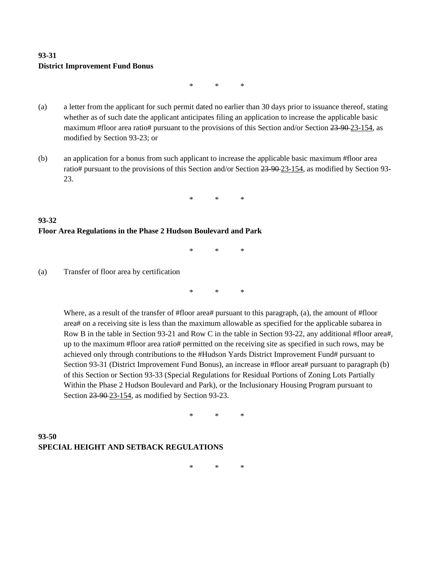# **93-31 District Improvement Fund Bonus**

\* \* \*

- (a) a letter from the applicant for such permit dated no earlier than 30 days prior to issuance thereof, stating whether as of such date the applicant anticipates filing an application to increase the applicable basic maximum #floor area ratio# pursuant to the provisions of this Section and/or Section 23-90-23-154, as modified by Section 93-23; or
- (b) an application for a bonus from such applicant to increase the applicable basic maximum #floor area ratio# pursuant to the provisions of this Section and/or Section 23-90-23-154, as modified by Section 93-23.

\* \* \*

# **93-32 Floor Area Regulations in the Phase 2 Hudson Boulevard and Park**

\* \* \*

(a) Transfer of floor area by certification

\* \* \*

Where, as a result of the transfer of #floor area# pursuant to this paragraph, (a), the amount of #floor area# on a receiving site is less than the maximum allowable as specified for the applicable subarea in Row B in the table in Section 93-21 and Row C in the table in Section 93-22, any additional #floor area#, up to the maximum #floor area ratio# permitted on the receiving site as specified in such rows, may be achieved only through contributions to the #Hudson Yards District Improvement Fund# pursuant to Section 93-31 (District Improvement Fund Bonus), an increase in #floor area# pursuant to paragraph (b) of this Section or Section 93-33 (Special Regulations for Residual Portions of Zoning Lots Partially Within the Phase 2 Hudson Boulevard and Park), or the Inclusionary Housing Program pursuant to Section 23-90-23-154, as modified by Section 93-23.

\* \* \*

# **93-50 SPECIAL HEIGHT AND SETBACK REGULATIONS**